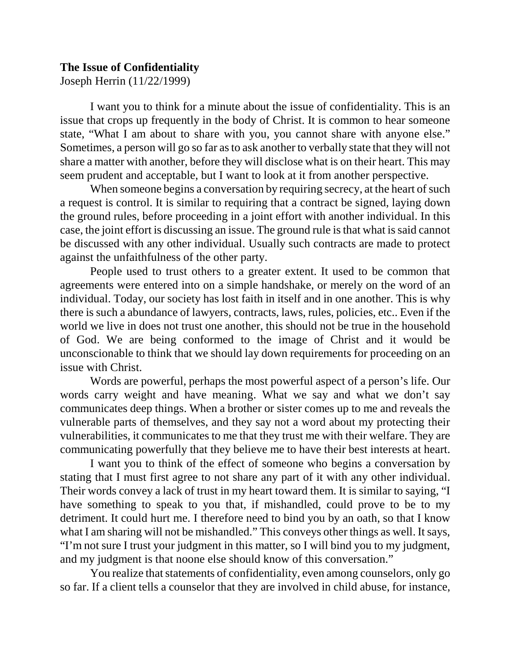## **The Issue of Confidentiality**

Joseph Herrin (11/22/1999)

I want you to think for a minute about the issue of confidentiality. This is an issue that crops up frequently in the body of Christ. It is common to hear someone state, "What I am about to share with you, you cannot share with anyone else." Sometimes, a person will go so far asto ask another to verbally state that they will not share a matter with another, before they will disclose what is on their heart. This may seem prudent and acceptable, but I want to look at it from another perspective.

When someone begins a conversation by requiring secrecy, at the heart of such a request is control. It is similar to requiring that a contract be signed, laying down the ground rules, before proceeding in a joint effort with another individual. In this case, the joint effort is discussing an issue. The ground rule is that what is said cannot be discussed with any other individual. Usually such contracts are made to protect against the unfaithfulness of the other party.

People used to trust others to a greater extent. It used to be common that agreements were entered into on a simple handshake, or merely on the word of an individual. Today, our society has lost faith in itself and in one another. This is why there is such a abundance of lawyers, contracts, laws, rules, policies, etc.. Even if the world we live in does not trust one another, this should not be true in the household of God. We are being conformed to the image of Christ and it would be unconscionable to think that we should lay down requirements for proceeding on an issue with Christ.

Words are powerful, perhaps the most powerful aspect of a person's life. Our words carry weight and have meaning. What we say and what we don't say communicates deep things. When a brother or sister comes up to me and reveals the vulnerable parts of themselves, and they say not a word about my protecting their vulnerabilities, it communicates to me that they trust me with their welfare. They are communicating powerfully that they believe me to have their best interests at heart.

I want you to think of the effect of someone who begins a conversation by stating that I must first agree to not share any part of it with any other individual. Their words convey a lack of trust in my heart toward them. It is similar to saying, "I have something to speak to you that, if mishandled, could prove to be to my detriment. It could hurt me. I therefore need to bind you by an oath, so that I know what I am sharing will not be mishandled." This conveys other things as well. It says, "I'm not sure I trust your judgment in this matter, so I will bind you to my judgment, and my judgment is that noone else should know of this conversation."

You realize that statements of confidentiality, even among counselors, only go so far. If a client tells a counselor that they are involved in child abuse, for instance,